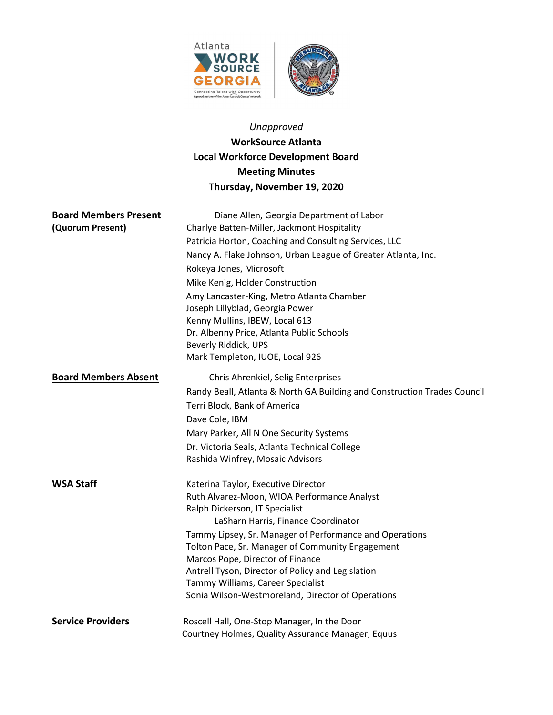



# Unapproved WorkSource Atlanta Local Workforce Development Board Meeting Minutes Thursday, November 19, 2020

| <b>Board Members Present</b> | Diane Allen, Georgia Department of Labor                                               |
|------------------------------|----------------------------------------------------------------------------------------|
| (Quorum Present)             | Charlye Batten-Miller, Jackmont Hospitality                                            |
|                              | Patricia Horton, Coaching and Consulting Services, LLC                                 |
|                              | Nancy A. Flake Johnson, Urban League of Greater Atlanta, Inc.                          |
|                              | Rokeya Jones, Microsoft                                                                |
|                              | Mike Kenig, Holder Construction                                                        |
|                              | Amy Lancaster-King, Metro Atlanta Chamber                                              |
|                              | Joseph Lillyblad, Georgia Power                                                        |
|                              | Kenny Mullins, IBEW, Local 613                                                         |
|                              | Dr. Albenny Price, Atlanta Public Schools                                              |
|                              | Beverly Riddick, UPS                                                                   |
|                              | Mark Templeton, IUOE, Local 926                                                        |
| <b>Board Members Absent</b>  | Chris Ahrenkiel, Selig Enterprises                                                     |
|                              | Randy Beall, Atlanta & North GA Building and Construction Trades Council               |
|                              | Terri Block, Bank of America                                                           |
|                              | Dave Cole, IBM                                                                         |
|                              | Mary Parker, All N One Security Systems                                                |
|                              | Dr. Victoria Seals, Atlanta Technical College                                          |
|                              | Rashida Winfrey, Mosaic Advisors                                                       |
| <b>WSA Staff</b>             | Katerina Taylor, Executive Director                                                    |
|                              | Ruth Alvarez-Moon, WIOA Performance Analyst                                            |
|                              | Ralph Dickerson, IT Specialist                                                         |
|                              | LaSharn Harris, Finance Coordinator                                                    |
|                              | Tammy Lipsey, Sr. Manager of Performance and Operations                                |
|                              | Tolton Pace, Sr. Manager of Community Engagement                                       |
|                              | Marcos Pope, Director of Finance                                                       |
|                              | Antrell Tyson, Director of Policy and Legislation<br>Tammy Williams, Career Specialist |
|                              | Sonia Wilson-Westmoreland, Director of Operations                                      |
|                              |                                                                                        |
| <b>Service Providers</b>     | Roscell Hall, One-Stop Manager, In the Door                                            |
|                              | Courtney Holmes, Quality Assurance Manager, Equus                                      |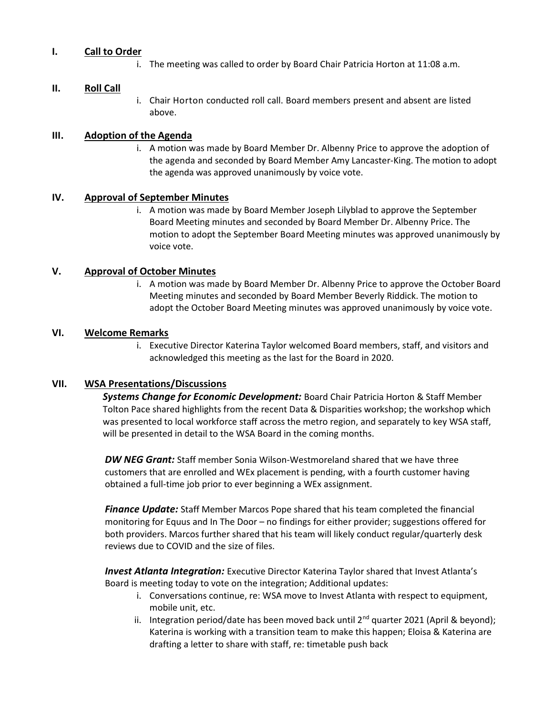# I. Call to Order

i. The meeting was called to order by Board Chair Patricia Horton at 11:08 a.m.

### II. Roll Call

i. Chair Horton conducted roll call. Board members present and absent are listed above.

## III. Adoption of the Agenda

i. A motion was made by Board Member Dr. Albenny Price to approve the adoption of the agenda and seconded by Board Member Amy Lancaster-King. The motion to adopt the agenda was approved unanimously by voice vote.

## IV. Approval of September Minutes

i. A motion was made by Board Member Joseph Lilyblad to approve the September Board Meeting minutes and seconded by Board Member Dr. Albenny Price. The motion to adopt the September Board Meeting minutes was approved unanimously by voice vote.

## V. Approval of October Minutes

i. A motion was made by Board Member Dr. Albenny Price to approve the October Board Meeting minutes and seconded by Board Member Beverly Riddick. The motion to adopt the October Board Meeting minutes was approved unanimously by voice vote.

# VI. Welcome Remarks

i. Executive Director Katerina Taylor welcomed Board members, staff, and visitors and acknowledged this meeting as the last for the Board in 2020.

# VII. WSA Presentations/Discussions

Systems Change for Economic Development: Board Chair Patricia Horton & Staff Member Tolton Pace shared highlights from the recent Data & Disparities workshop; the workshop which was presented to local workforce staff across the metro region, and separately to key WSA staff, will be presented in detail to the WSA Board in the coming months.

**DW NEG Grant:** Staff member Sonia Wilson-Westmoreland shared that we have three customers that are enrolled and WEx placement is pending, with a fourth customer having obtained a full-time job prior to ever beginning a WEx assignment.

**Finance Update:** Staff Member Marcos Pope shared that his team completed the financial monitoring for Equus and In The Door – no findings for either provider; suggestions offered for both providers. Marcos further shared that his team will likely conduct regular/quarterly desk reviews due to COVID and the size of files.

**Invest Atlanta Integration:** Executive Director Katerina Taylor shared that Invest Atlanta's Board is meeting today to vote on the integration; Additional updates:

- i. Conversations continue, re: WSA move to Invest Atlanta with respect to equipment, mobile unit, etc.
- ii. Integration period/date has been moved back until  $2^{nd}$  quarter 2021 (April & beyond); Katerina is working with a transition team to make this happen; Eloisa & Katerina are drafting a letter to share with staff, re: timetable push back